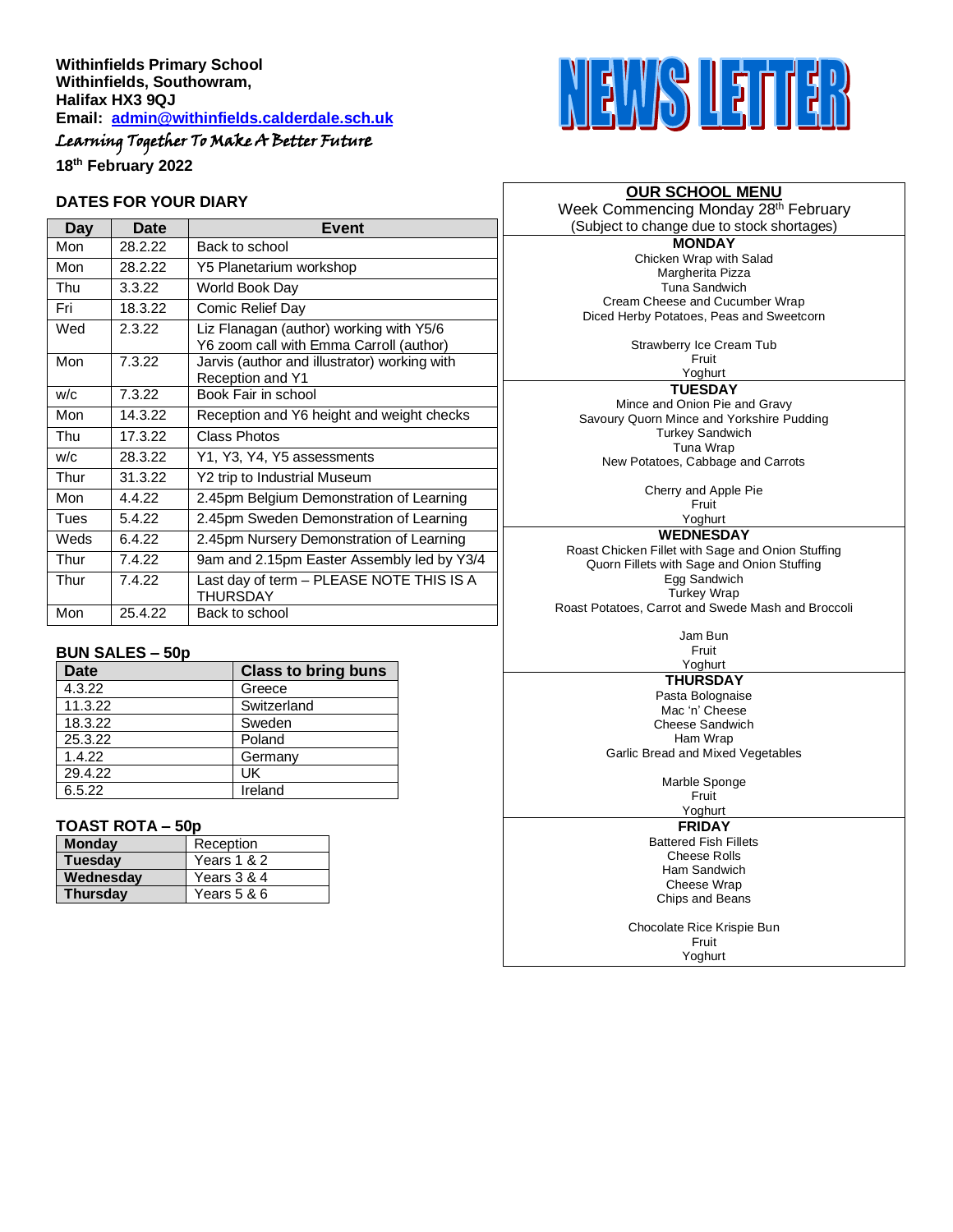# Learning Together To Make A Better Future

**18 th February 2022**

#### **DATES FOR YOUR DIARY**

| Day  | Date    | <b>Event</b>                                                                       |  |
|------|---------|------------------------------------------------------------------------------------|--|
| Mon  | 28.2.22 | Back to school                                                                     |  |
| Mon  | 28.2.22 | Y5 Planetarium workshop                                                            |  |
| Thu  | 3.3.22  | World Book Day                                                                     |  |
| Fri  | 18.3.22 | Comic Relief Day                                                                   |  |
| Wed  | 2.3.22  | Liz Flanagan (author) working with Y5/6<br>Y6 zoom call with Emma Carroll (author) |  |
| Mon  | 7.3.22  | Jarvis (author and illustrator) working with<br>Reception and Y1                   |  |
| w/c  | 7.3.22  | Book Fair in school                                                                |  |
| Mon  | 14.3.22 | Reception and Y6 height and weight checks                                          |  |
| Thu  | 17.3.22 | Class Photos                                                                       |  |
| w/c  | 28.3.22 | Y1, Y3, Y4, Y5 assessments                                                         |  |
| Thur | 31.3.22 | Y2 trip to Industrial Museum                                                       |  |
| Mon  | 4422    | 2.45pm Belgium Demonstration of Learning                                           |  |
| Tues | 5.4.22  | 2.45pm Sweden Demonstration of Learning                                            |  |
| Weds | 6422    | 2.45pm Nursery Demonstration of Learning                                           |  |
| Thur | 7.4.22  | 9am and 2.15pm Easter Assembly led by Y3/4                                         |  |
| Thur | 7.4.22  | Last day of term - PLEASE NOTE THIS IS A<br><b>THURSDAY</b>                        |  |
| Mon  | 25.4.22 | Back to school                                                                     |  |

#### **BUN SALES – 50p**

| <b>Date</b> | <b>Class to bring buns</b> |
|-------------|----------------------------|
| 4.3.22      | Greece                     |
| 11.3.22     | Switzerland                |
| 18.3.22     | Sweden                     |
| 25.3.22     | Poland                     |
| 1.4.22      | Germany                    |
| 29.4.22     | UK                         |
| 6.5.22      | Ireland                    |

#### **TOAST ROTA – 50p**

| <b>Monday</b>   | Reception   |
|-----------------|-------------|
| <b>Tuesday</b>  | Years 1 & 2 |
| Wednesday       | Years 3 & 4 |
| <b>Thursdav</b> | Years 5 & 6 |



# **OUR SCHOOL MENU**

Week Commencing Monday 28<sup>th</sup> February (Subject to change due to stock shortages)

**MONDAY** Chicken Wrap with Salad Margherita Pizza Tuna Sandwich Cream Cheese and Cucumber Wrap Diced Herby Potatoes, Peas and Sweetcorn

Strawberry Ice Cream Tub

Fruit Yoghurt

**TUESDAY**

Mince and Onion Pie and Gravy Savoury Quorn Mince and Yorkshire Pudding Turkey Sandwich Tuna Wrap New Potatoes, Cabbage and Carrots

Cherry and Apple Pie

Fruit Yoghurt

**WEDNESDAY**

Roast Chicken Fillet with Sage and Onion Stuffing Quorn Fillets with Sage and Onion Stuffing Egg Sandwich Turkey Wrap Roast Potatoes, Carrot and Swede Mash and Broccoli

> Jam Bun Fruit

Yoghurt **THURSDAY**

Pasta Bolognaise Mac 'n' Cheese Cheese Sandwich Ham Wrap Garlic Bread and Mixed Vegetables

> Marble Sponge Fruit

Yoghurt

**FRIDAY** Battered Fish Fillets

Cheese Rolls Ham Sandwich Cheese Wrap Chips and Beans

Chocolate Rice Krispie Bun Fruit Yoghurt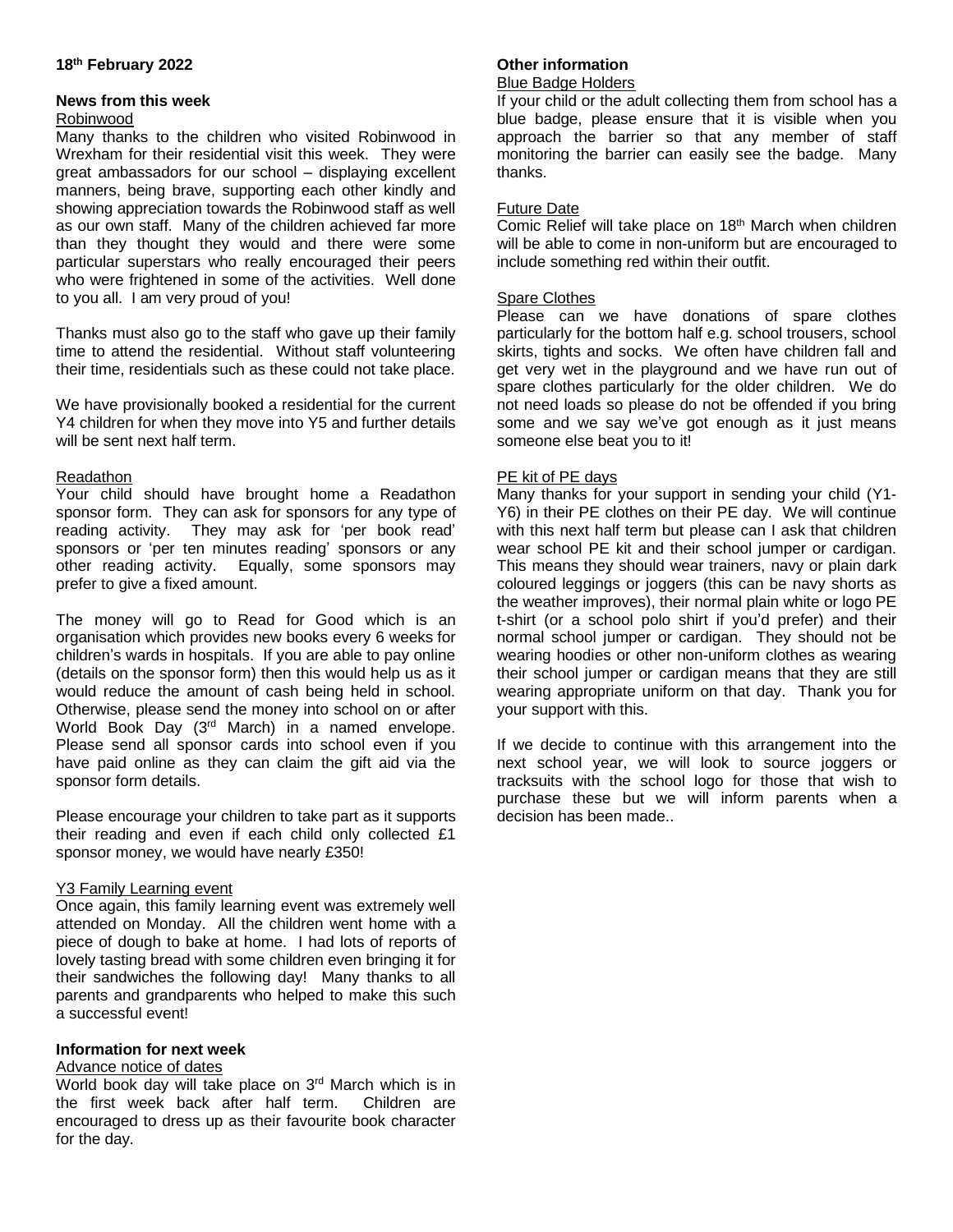# **18 th February 2022**

## **News from this week**

#### Robinwood

Many thanks to the children who visited Robinwood in Wrexham for their residential visit this week. They were great ambassadors for our school – displaying excellent manners, being brave, supporting each other kindly and showing appreciation towards the Robinwood staff as well as our own staff. Many of the children achieved far more than they thought they would and there were some particular superstars who really encouraged their peers who were frightened in some of the activities. Well done to you all. I am very proud of you!

Thanks must also go to the staff who gave up their family time to attend the residential. Without staff volunteering their time, residentials such as these could not take place.

We have provisionally booked a residential for the current Y4 children for when they move into Y5 and further details will be sent next half term.

## Readathon

Your child should have brought home a Readathon sponsor form. They can ask for sponsors for any type of reading activity. They may ask for 'per book read' sponsors or 'per ten minutes reading' sponsors or any other reading activity. Equally, some sponsors may prefer to give a fixed amount.

The money will go to Read for Good which is an organisation which provides new books every 6 weeks for children's wards in hospitals. If you are able to pay online (details on the sponsor form) then this would help us as it would reduce the amount of cash being held in school. Otherwise, please send the money into school on or after World Book Day (3rd March) in a named envelope. Please send all sponsor cards into school even if you have paid online as they can claim the gift aid via the sponsor form details.

Please encourage your children to take part as it supports their reading and even if each child only collected £1 sponsor money, we would have nearly £350!

## Y3 Family Learning event

Once again, this family learning event was extremely well attended on Monday. All the children went home with a piece of dough to bake at home. I had lots of reports of lovely tasting bread with some children even bringing it for their sandwiches the following day! Many thanks to all parents and grandparents who helped to make this such a successful event!

## **Information for next week**

## Advance notice of dates

World book day will take place on 3rd March which is in the first week back after half term. Children are encouraged to dress up as their favourite book character for the day.

# **Other information**

#### Blue Badge Holders

If your child or the adult collecting them from school has a blue badge, please ensure that it is visible when you approach the barrier so that any member of staff monitoring the barrier can easily see the badge. Many thanks.

## Future Date

Comic Relief will take place on 18<sup>th</sup> March when children will be able to come in non-uniform but are encouraged to include something red within their outfit.

#### Spare Clothes

Please can we have donations of spare clothes particularly for the bottom half e.g. school trousers, school skirts, tights and socks. We often have children fall and get very wet in the playground and we have run out of spare clothes particularly for the older children. We do not need loads so please do not be offended if you bring some and we say we've got enough as it just means someone else beat you to it!

#### PE kit of PE days

Many thanks for your support in sending your child (Y1- Y6) in their PE clothes on their PE day. We will continue with this next half term but please can I ask that children wear school PE kit and their school jumper or cardigan. This means they should wear trainers, navy or plain dark coloured leggings or joggers (this can be navy shorts as the weather improves), their normal plain white or logo PE t-shirt (or a school polo shirt if you'd prefer) and their normal school jumper or cardigan. They should not be wearing hoodies or other non-uniform clothes as wearing their school jumper or cardigan means that they are still wearing appropriate uniform on that day. Thank you for your support with this.

If we decide to continue with this arrangement into the next school year, we will look to source joggers or tracksuits with the school logo for those that wish to purchase these but we will inform parents when a decision has been made..